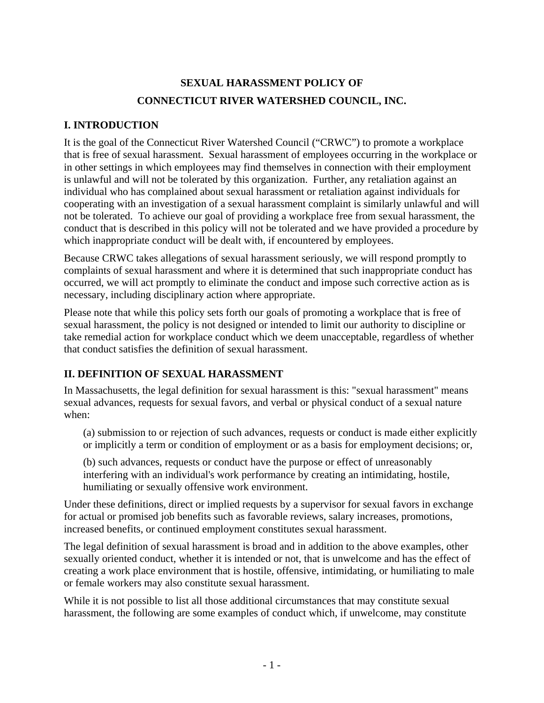# **SEXUAL HARASSMENT POLICY OF CONNECTICUT RIVER WATERSHED COUNCIL, INC.**

# **I. INTRODUCTION**

It is the goal of the Connecticut River Watershed Council ("CRWC") to promote a workplace that is free of sexual harassment. Sexual harassment of employees occurring in the workplace or in other settings in which employees may find themselves in connection with their employment is unlawful and will not be tolerated by this organization. Further, any retaliation against an individual who has complained about sexual harassment or retaliation against individuals for cooperating with an investigation of a sexual harassment complaint is similarly unlawful and will not be tolerated. To achieve our goal of providing a workplace free from sexual harassment, the conduct that is described in this policy will not be tolerated and we have provided a procedure by which inappropriate conduct will be dealt with, if encountered by employees.

Because CRWC takes allegations of sexual harassment seriously, we will respond promptly to complaints of sexual harassment and where it is determined that such inappropriate conduct has occurred, we will act promptly to eliminate the conduct and impose such corrective action as is necessary, including disciplinary action where appropriate.

Please note that while this policy sets forth our goals of promoting a workplace that is free of sexual harassment, the policy is not designed or intended to limit our authority to discipline or take remedial action for workplace conduct which we deem unacceptable, regardless of whether that conduct satisfies the definition of sexual harassment.

# **II. DEFINITION OF SEXUAL HARASSMENT**

In Massachusetts, the legal definition for sexual harassment is this: "sexual harassment" means sexual advances, requests for sexual favors, and verbal or physical conduct of a sexual nature when:

(a) submission to or rejection of such advances, requests or conduct is made either explicitly or implicitly a term or condition of employment or as a basis for employment decisions; or,

(b) such advances, requests or conduct have the purpose or effect of unreasonably interfering with an individual's work performance by creating an intimidating, hostile, humiliating or sexually offensive work environment.

Under these definitions, direct or implied requests by a supervisor for sexual favors in exchange for actual or promised job benefits such as favorable reviews, salary increases, promotions, increased benefits, or continued employment constitutes sexual harassment.

The legal definition of sexual harassment is broad and in addition to the above examples, other sexually oriented conduct, whether it is intended or not, that is unwelcome and has the effect of creating a work place environment that is hostile, offensive, intimidating, or humiliating to male or female workers may also constitute sexual harassment.

While it is not possible to list all those additional circumstances that may constitute sexual harassment, the following are some examples of conduct which, if unwelcome, may constitute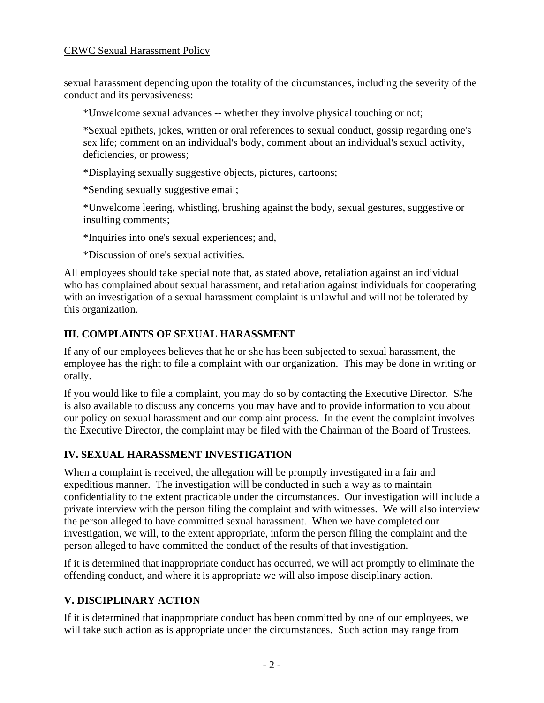#### CRWC Sexual Harassment Policy

sexual harassment depending upon the totality of the circumstances, including the severity of the conduct and its pervasiveness:

\*Unwelcome sexual advances -- whether they involve physical touching or not;

\*Sexual epithets, jokes, written or oral references to sexual conduct, gossip regarding one's sex life; comment on an individual's body, comment about an individual's sexual activity, deficiencies, or prowess;

\*Displaying sexually suggestive objects, pictures, cartoons;

\*Sending sexually suggestive email;

\*Unwelcome leering, whistling, brushing against the body, sexual gestures, suggestive or insulting comments;

\*Inquiries into one's sexual experiences; and,

\*Discussion of one's sexual activities.

All employees should take special note that, as stated above, retaliation against an individual who has complained about sexual harassment, and retaliation against individuals for cooperating with an investigation of a sexual harassment complaint is unlawful and will not be tolerated by this organization.

## **III. COMPLAINTS OF SEXUAL HARASSMENT**

If any of our employees believes that he or she has been subjected to sexual harassment, the employee has the right to file a complaint with our organization. This may be done in writing or orally.

If you would like to file a complaint, you may do so by contacting the Executive Director. S/he is also available to discuss any concerns you may have and to provide information to you about our policy on sexual harassment and our complaint process. In the event the complaint involves the Executive Director, the complaint may be filed with the Chairman of the Board of Trustees.

### **IV. SEXUAL HARASSMENT INVESTIGATION**

When a complaint is received, the allegation will be promptly investigated in a fair and expeditious manner. The investigation will be conducted in such a way as to maintain confidentiality to the extent practicable under the circumstances. Our investigation will include a private interview with the person filing the complaint and with witnesses. We will also interview the person alleged to have committed sexual harassment. When we have completed our investigation, we will, to the extent appropriate, inform the person filing the complaint and the person alleged to have committed the conduct of the results of that investigation.

If it is determined that inappropriate conduct has occurred, we will act promptly to eliminate the offending conduct, and where it is appropriate we will also impose disciplinary action.

# **V. DISCIPLINARY ACTION**

If it is determined that inappropriate conduct has been committed by one of our employees, we will take such action as is appropriate under the circumstances. Such action may range from